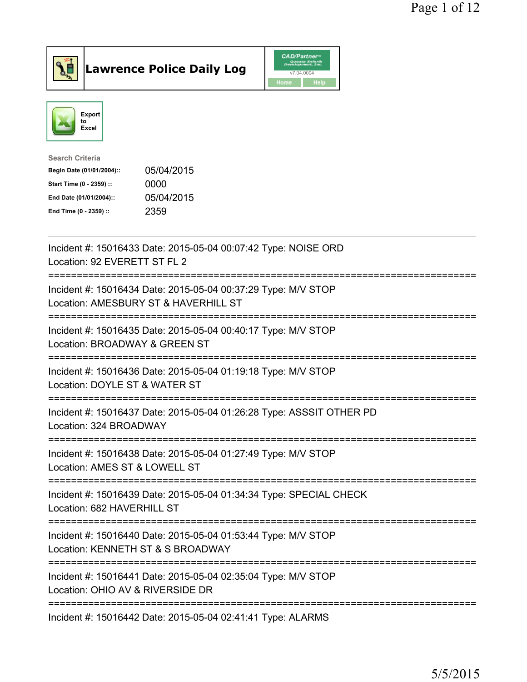

## Lawrence Police Daily Log

|      | <b>CAD/Partner</b> <sup>*</sup><br>Queues Enforth<br>Development, Inc. |
|------|------------------------------------------------------------------------|
|      | v7.04.0004                                                             |
| Home | <b>Help</b>                                                            |



| Search Criteria           |            |
|---------------------------|------------|
| Begin Date (01/01/2004):: | 05/04/2015 |
| Start Time (0 - 2359) ::  | 0000       |
| End Date (01/01/2004)::   | 05/04/2015 |
| End Time (0 - 2359) ::    | 2359       |
|                           |            |

| Incident #: 15016433 Date: 2015-05-04 00:07:42 Type: NOISE ORD<br>Location: 92 EVERETT ST FL 2                                                                       |
|----------------------------------------------------------------------------------------------------------------------------------------------------------------------|
| Incident #: 15016434 Date: 2015-05-04 00:37:29 Type: M/V STOP<br>Location: AMESBURY ST & HAVERHILL ST                                                                |
| Incident #: 15016435 Date: 2015-05-04 00:40:17 Type: M/V STOP<br>Location: BROADWAY & GREEN ST<br>========================                                           |
| Incident #: 15016436 Date: 2015-05-04 01:19:18 Type: M/V STOP<br>Location: DOYLE ST & WATER ST                                                                       |
| Incident #: 15016437 Date: 2015-05-04 01:26:28 Type: ASSSIT OTHER PD<br>Location: 324 BROADWAY<br>=====================                                              |
| Incident #: 15016438 Date: 2015-05-04 01:27:49 Type: M/V STOP<br>Location: AMES ST & LOWELL ST<br>---------------<br>-------------------------                       |
| Incident #: 15016439 Date: 2015-05-04 01:34:34 Type: SPECIAL CHECK<br>Location: 682 HAVERHILL ST                                                                     |
| Incident #: 15016440 Date: 2015-05-04 01:53:44 Type: M/V STOP<br>Location: KENNETH ST & S BROADWAY                                                                   |
| ==============================<br>=============================<br>Incident #: 15016441 Date: 2015-05-04 02:35:04 Type: M/V STOP<br>Location: OHIO AV & RIVERSIDE DR |
| Incident #: 15016442 Date: 2015-05-04 02:41:41 Type: ALARMS                                                                                                          |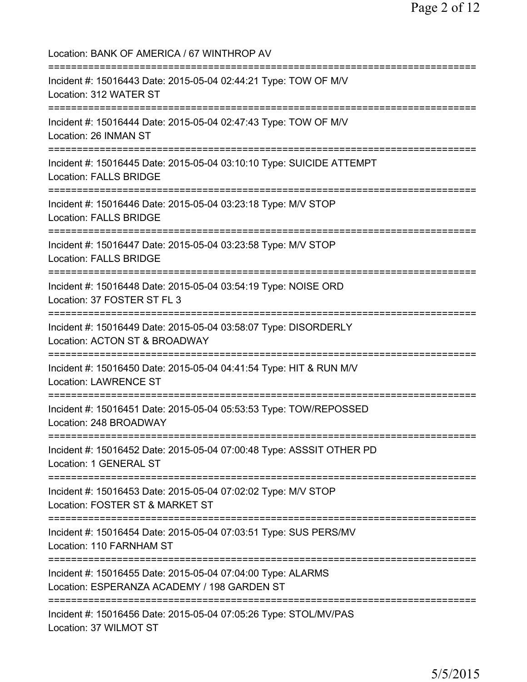Location: BANK OF AMERICA / 67 WINTHROP AV =========================================================================== Incident #: 15016443 Date: 2015-05-04 02:44:21 Type: TOW OF M/V Location: 312 WATER ST =========================================================================== Incident #: 15016444 Date: 2015-05-04 02:47:43 Type: TOW OF M/V Location: 26 INMAN ST =========================================================================== Incident #: 15016445 Date: 2015-05-04 03:10:10 Type: SUICIDE ATTEMPT Location: FALLS BRIDGE =========================================================================== Incident #: 15016446 Date: 2015-05-04 03:23:18 Type: M/V STOP Location: FALLS BRIDGE =========================================================================== Incident #: 15016447 Date: 2015-05-04 03:23:58 Type: M/V STOP Location: FALLS BRIDGE =========================================================================== Incident #: 15016448 Date: 2015-05-04 03:54:19 Type: NOISE ORD Location: 37 FOSTER ST FL 3 =========================================================================== Incident #: 15016449 Date: 2015-05-04 03:58:07 Type: DISORDERLY Location: ACTON ST & BROADWAY =========================================================================== Incident #: 15016450 Date: 2015-05-04 04:41:54 Type: HIT & RUN M/V Location: LAWRENCE ST =========================================================================== Incident #: 15016451 Date: 2015-05-04 05:53:53 Type: TOW/REPOSSED Location: 248 BROADWAY =========================================================================== Incident #: 15016452 Date: 2015-05-04 07:00:48 Type: ASSSIT OTHER PD Location: 1 GENERAL ST =========================================================================== Incident #: 15016453 Date: 2015-05-04 07:02:02 Type: M/V STOP Location: FOSTER ST & MARKET ST =========================================================================== Incident #: 15016454 Date: 2015-05-04 07:03:51 Type: SUS PERS/MV Location: 110 FARNHAM ST =========================================================================== Incident #: 15016455 Date: 2015-05-04 07:04:00 Type: ALARMS Location: ESPERANZA ACADEMY / 198 GARDEN ST =========================================================================== Incident #: 15016456 Date: 2015-05-04 07:05:26 Type: STOL/MV/PAS Location: 37 WILMOT ST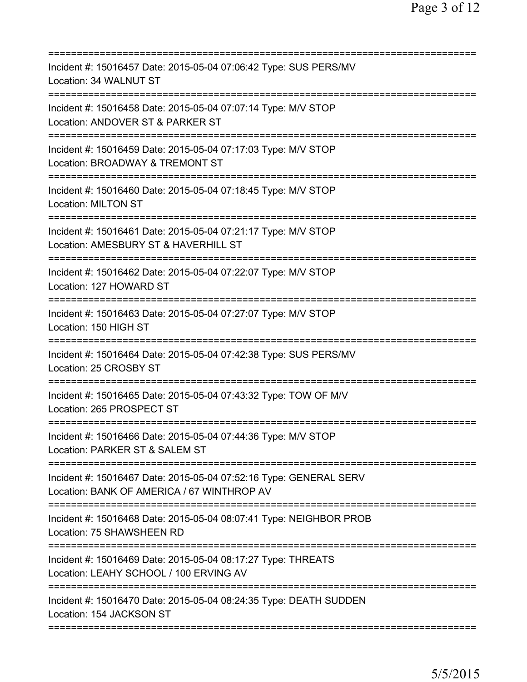| Incident #: 15016457 Date: 2015-05-04 07:06:42 Type: SUS PERS/MV<br>Location: 34 WALNUT ST                      |
|-----------------------------------------------------------------------------------------------------------------|
| Incident #: 15016458 Date: 2015-05-04 07:07:14 Type: M/V STOP<br>Location: ANDOVER ST & PARKER ST               |
| Incident #: 15016459 Date: 2015-05-04 07:17:03 Type: M/V STOP<br>Location: BROADWAY & TREMONT ST                |
| Incident #: 15016460 Date: 2015-05-04 07:18:45 Type: M/V STOP<br><b>Location: MILTON ST</b>                     |
| Incident #: 15016461 Date: 2015-05-04 07:21:17 Type: M/V STOP<br>Location: AMESBURY ST & HAVERHILL ST           |
| Incident #: 15016462 Date: 2015-05-04 07:22:07 Type: M/V STOP<br>Location: 127 HOWARD ST                        |
| Incident #: 15016463 Date: 2015-05-04 07:27:07 Type: M/V STOP<br>Location: 150 HIGH ST                          |
| Incident #: 15016464 Date: 2015-05-04 07:42:38 Type: SUS PERS/MV<br>Location: 25 CROSBY ST<br>============      |
| Incident #: 15016465 Date: 2015-05-04 07:43:32 Type: TOW OF M/V<br>Location: 265 PROSPECT ST                    |
| Incident #: 15016466 Date: 2015-05-04 07:44:36 Type: M/V STOP<br>Location: PARKER ST & SALEM ST                 |
| Incident #: 15016467 Date: 2015-05-04 07:52:16 Type: GENERAL SERV<br>Location: BANK OF AMERICA / 67 WINTHROP AV |
| Incident #: 15016468 Date: 2015-05-04 08:07:41 Type: NEIGHBOR PROB<br>Location: 75 SHAWSHEEN RD                 |
| Incident #: 15016469 Date: 2015-05-04 08:17:27 Type: THREATS<br>Location: LEAHY SCHOOL / 100 ERVING AV          |
| Incident #: 15016470 Date: 2015-05-04 08:24:35 Type: DEATH SUDDEN<br>Location: 154 JACKSON ST                   |
|                                                                                                                 |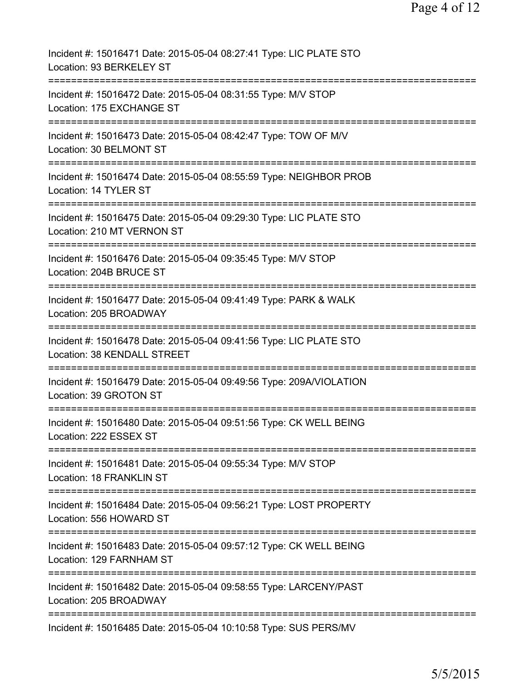| Incident #: 15016471 Date: 2015-05-04 08:27:41 Type: LIC PLATE STO<br>Location: 93 BERKELEY ST                     |
|--------------------------------------------------------------------------------------------------------------------|
| Incident #: 15016472 Date: 2015-05-04 08:31:55 Type: M/V STOP<br>Location: 175 EXCHANGE ST                         |
| Incident #: 15016473 Date: 2015-05-04 08:42:47 Type: TOW OF M/V<br>Location: 30 BELMONT ST                         |
| Incident #: 15016474 Date: 2015-05-04 08:55:59 Type: NEIGHBOR PROB<br>Location: 14 TYLER ST                        |
| --------------<br>Incident #: 15016475 Date: 2015-05-04 09:29:30 Type: LIC PLATE STO<br>Location: 210 MT VERNON ST |
| Incident #: 15016476 Date: 2015-05-04 09:35:45 Type: M/V STOP<br>Location: 204B BRUCE ST                           |
| Incident #: 15016477 Date: 2015-05-04 09:41:49 Type: PARK & WALK<br>Location: 205 BROADWAY                         |
| Incident #: 15016478 Date: 2015-05-04 09:41:56 Type: LIC PLATE STO<br>Location: 38 KENDALL STREET                  |
| Incident #: 15016479 Date: 2015-05-04 09:49:56 Type: 209A/VIOLATION<br>Location: 39 GROTON ST                      |
| Incident #: 15016480 Date: 2015-05-04 09:51:56 Type: CK WELL BEING<br>Location: 222 ESSEX ST                       |
| Incident #: 15016481 Date: 2015-05-04 09:55:34 Type: M/V STOP<br>Location: 18 FRANKLIN ST                          |
| Incident #: 15016484 Date: 2015-05-04 09:56:21 Type: LOST PROPERTY<br>Location: 556 HOWARD ST                      |
| Incident #: 15016483 Date: 2015-05-04 09:57:12 Type: CK WELL BEING<br>Location: 129 FARNHAM ST                     |
| Incident #: 15016482 Date: 2015-05-04 09:58:55 Type: LARCENY/PAST<br>Location: 205 BROADWAY                        |
| Incident #: 15016485 Date: 2015-05-04 10:10:58 Type: SUS PERS/MV                                                   |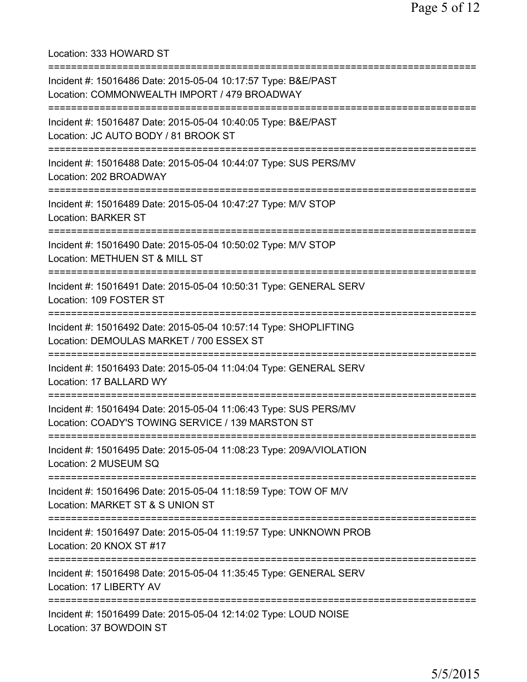Location: 333 HOWARD ST =========================================================================== Incident #: 15016486 Date: 2015-05-04 10:17:57 Type: B&E/PAST Location: COMMONWEALTH IMPORT / 479 BROADWAY =========================================================================== Incident #: 15016487 Date: 2015-05-04 10:40:05 Type: B&E/PAST Location: JC AUTO BODY / 81 BROOK ST =========================================================================== Incident #: 15016488 Date: 2015-05-04 10:44:07 Type: SUS PERS/MV Location: 202 BROADWAY =========================================================================== Incident #: 15016489 Date: 2015-05-04 10:47:27 Type: M/V STOP Location: BARKER ST =========================================================================== Incident #: 15016490 Date: 2015-05-04 10:50:02 Type: M/V STOP Location: METHUEN ST & MILL ST =========================================================================== Incident #: 15016491 Date: 2015-05-04 10:50:31 Type: GENERAL SERV Location: 109 FOSTER ST =========================================================================== Incident #: 15016492 Date: 2015-05-04 10:57:14 Type: SHOPLIFTING Location: DEMOULAS MARKET / 700 ESSEX ST =========================================================================== Incident #: 15016493 Date: 2015-05-04 11:04:04 Type: GENERAL SERV Location: 17 BALLARD WY =========================================================================== Incident #: 15016494 Date: 2015-05-04 11:06:43 Type: SUS PERS/MV Location: COADY'S TOWING SERVICE / 139 MARSTON ST =========================================================================== Incident #: 15016495 Date: 2015-05-04 11:08:23 Type: 209A/VIOLATION Location: 2 MUSEUM SQ =========================================================================== Incident #: 15016496 Date: 2015-05-04 11:18:59 Type: TOW OF M/V Location: MARKET ST & S UNION ST =========================================================================== Incident #: 15016497 Date: 2015-05-04 11:19:57 Type: UNKNOWN PROB Location: 20 KNOX ST #17 =========================================================================== Incident #: 15016498 Date: 2015-05-04 11:35:45 Type: GENERAL SERV Location: 17 LIBERTY AV =========================================================================== Incident #: 15016499 Date: 2015-05-04 12:14:02 Type: LOUD NOISE Location: 37 BOWDOIN ST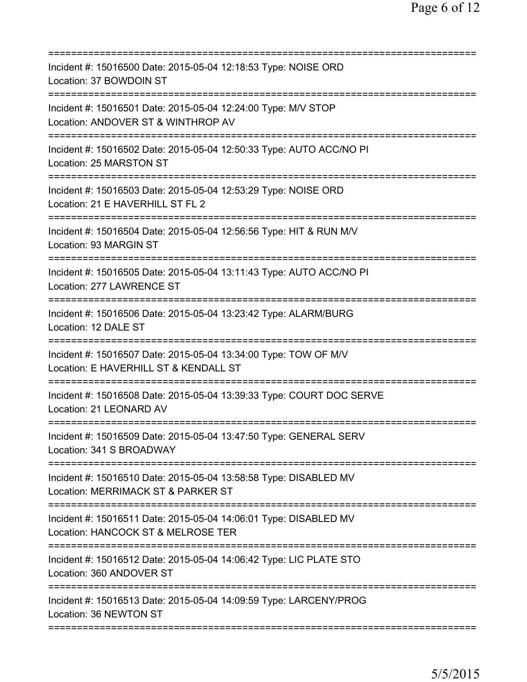| Incident #: 15016500 Date: 2015-05-04 12:18:53 Type: NOISE ORD<br>Location: 37 BOWDOIN ST                                          |
|------------------------------------------------------------------------------------------------------------------------------------|
| Incident #: 15016501 Date: 2015-05-04 12:24:00 Type: M/V STOP<br>Location: ANDOVER ST & WINTHROP AV                                |
| Incident #: 15016502 Date: 2015-05-04 12:50:33 Type: AUTO ACC/NO PI<br>Location: 25 MARSTON ST                                     |
| Incident #: 15016503 Date: 2015-05-04 12:53:29 Type: NOISE ORD<br>Location: 21 E HAVERHILL ST FL 2<br>========================     |
| Incident #: 15016504 Date: 2015-05-04 12:56:56 Type: HIT & RUN M/V<br>Location: 93 MARGIN ST                                       |
| Incident #: 15016505 Date: 2015-05-04 13:11:43 Type: AUTO ACC/NO PI<br>Location: 277 LAWRENCE ST                                   |
| Incident #: 15016506 Date: 2015-05-04 13:23:42 Type: ALARM/BURG<br>Location: 12 DALE ST<br>=====================================   |
| Incident #: 15016507 Date: 2015-05-04 13:34:00 Type: TOW OF M/V<br>Location: E HAVERHILL ST & KENDALL ST                           |
| Incident #: 15016508 Date: 2015-05-04 13:39:33 Type: COURT DOC SERVE<br>Location: 21 LEONARD AV                                    |
| Incident #: 15016509 Date: 2015-05-04 13:47:50 Type: GENERAL SERV<br>Location: 341 S BROADWAY                                      |
| Incident #: 15016510 Date: 2015-05-04 13:58:58 Type: DISABLED MV<br>Location: MERRIMACK ST & PARKER ST                             |
| Incident #: 15016511 Date: 2015-05-04 14:06:01 Type: DISABLED MV<br>Location: HANCOCK ST & MELROSE TER                             |
| ================================<br>Incident #: 15016512 Date: 2015-05-04 14:06:42 Type: LIC PLATE STO<br>Location: 360 ANDOVER ST |
| Incident #: 15016513 Date: 2015-05-04 14:09:59 Type: LARCENY/PROG<br>Location: 36 NEWTON ST                                        |
|                                                                                                                                    |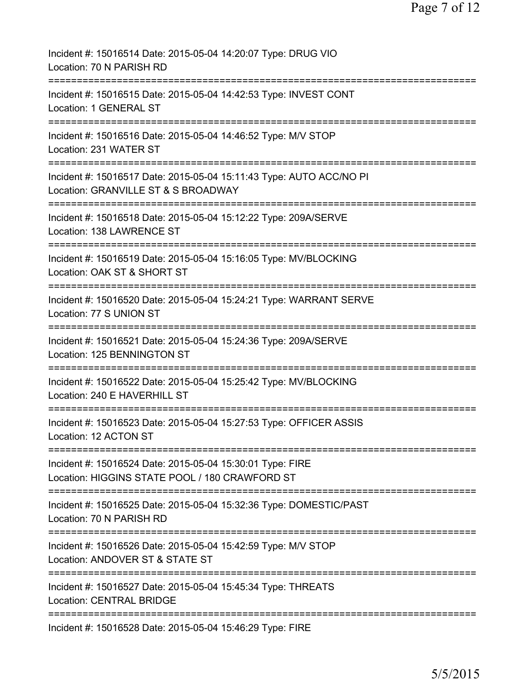| Incident #: 15016514 Date: 2015-05-04 14:20:07 Type: DRUG VIO<br>Location: 70 N PARISH RD                                    |
|------------------------------------------------------------------------------------------------------------------------------|
| Incident #: 15016515 Date: 2015-05-04 14:42:53 Type: INVEST CONT<br>Location: 1 GENERAL ST                                   |
| Incident #: 15016516 Date: 2015-05-04 14:46:52 Type: M/V STOP<br>Location: 231 WATER ST                                      |
| Incident #: 15016517 Date: 2015-05-04 15:11:43 Type: AUTO ACC/NO PI<br>Location: GRANVILLE ST & S BROADWAY                   |
| ============================<br>Incident #: 15016518 Date: 2015-05-04 15:12:22 Type: 209A/SERVE<br>Location: 138 LAWRENCE ST |
| Incident #: 15016519 Date: 2015-05-04 15:16:05 Type: MV/BLOCKING<br>Location: OAK ST & SHORT ST                              |
| Incident #: 15016520 Date: 2015-05-04 15:24:21 Type: WARRANT SERVE<br>Location: 77 S UNION ST                                |
| Incident #: 15016521 Date: 2015-05-04 15:24:36 Type: 209A/SERVE<br>Location: 125 BENNINGTON ST                               |
| Incident #: 15016522 Date: 2015-05-04 15:25:42 Type: MV/BLOCKING<br>Location: 240 E HAVERHILL ST                             |
| Incident #: 15016523 Date: 2015-05-04 15:27:53 Type: OFFICER ASSIS<br>Location: 12 ACTON ST                                  |
| Incident #: 15016524 Date: 2015-05-04 15:30:01 Type: FIRE<br>Location: HIGGINS STATE POOL / 180 CRAWFORD ST                  |
| Incident #: 15016525 Date: 2015-05-04 15:32:36 Type: DOMESTIC/PAST<br>Location: 70 N PARISH RD                               |
| Incident #: 15016526 Date: 2015-05-04 15:42:59 Type: M/V STOP<br>Location: ANDOVER ST & STATE ST                             |
| =========================<br>Incident #: 15016527 Date: 2015-05-04 15:45:34 Type: THREATS<br><b>Location: CENTRAL BRIDGE</b> |
| =====================<br>Incident #: 15016528 Date: 2015-05-04 15:46:29 Type: FIRE                                           |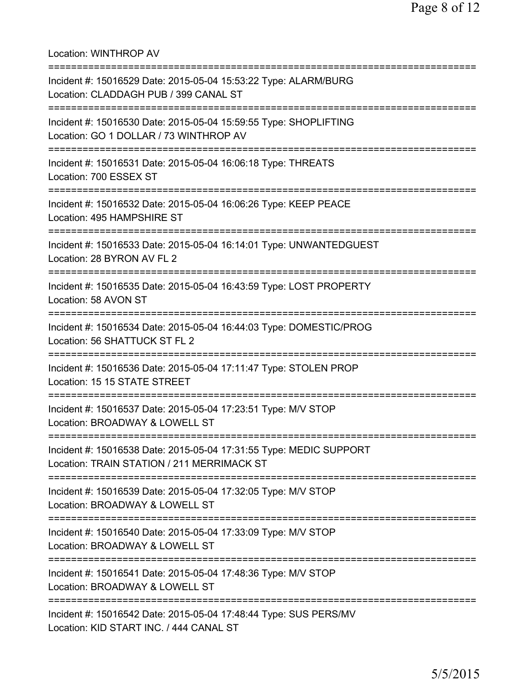Location: WINTHROP AV =========================================================================== Incident #: 15016529 Date: 2015-05-04 15:53:22 Type: ALARM/BURG Location: CLADDAGH PUB / 399 CANAL ST =========================================================================== Incident #: 15016530 Date: 2015-05-04 15:59:55 Type: SHOPLIFTING Location: GO 1 DOLLAR / 73 WINTHROP AV =========================================================================== Incident #: 15016531 Date: 2015-05-04 16:06:18 Type: THREATS Location: 700 ESSEX ST =========================================================================== Incident #: 15016532 Date: 2015-05-04 16:06:26 Type: KEEP PEACE Location: 495 HAMPSHIRE ST =========================================================================== Incident #: 15016533 Date: 2015-05-04 16:14:01 Type: UNWANTEDGUEST Location: 28 BYRON AV FL 2 =========================================================================== Incident #: 15016535 Date: 2015-05-04 16:43:59 Type: LOST PROPERTY Location: 58 AVON ST =========================================================================== Incident #: 15016534 Date: 2015-05-04 16:44:03 Type: DOMESTIC/PROG Location: 56 SHATTUCK ST FL 2 =========================================================================== Incident #: 15016536 Date: 2015-05-04 17:11:47 Type: STOLEN PROP Location: 15 15 STATE STREET =========================================================================== Incident #: 15016537 Date: 2015-05-04 17:23:51 Type: M/V STOP Location: BROADWAY & LOWELL ST =========================================================================== Incident #: 15016538 Date: 2015-05-04 17:31:55 Type: MEDIC SUPPORT Location: TRAIN STATION / 211 MERRIMACK ST =========================================================================== Incident #: 15016539 Date: 2015-05-04 17:32:05 Type: M/V STOP Location: BROADWAY & LOWELL ST =========================================================================== Incident #: 15016540 Date: 2015-05-04 17:33:09 Type: M/V STOP Location: BROADWAY & LOWELL ST =========================================================================== Incident #: 15016541 Date: 2015-05-04 17:48:36 Type: M/V STOP Location: BROADWAY & LOWELL ST =========================================================================== Incident #: 15016542 Date: 2015-05-04 17:48:44 Type: SUS PERS/MV Location: KID START INC. / 444 CANAL ST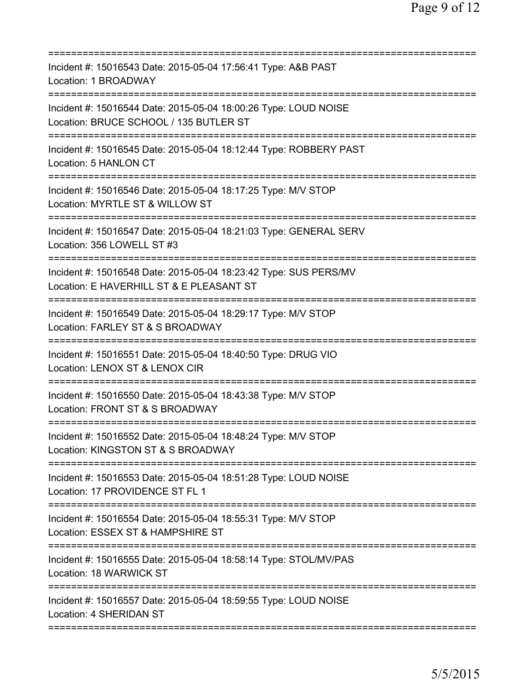| Incident #: 15016543 Date: 2015-05-04 17:56:41 Type: A&B PAST<br>Location: 1 BROADWAY                        |
|--------------------------------------------------------------------------------------------------------------|
| Incident #: 15016544 Date: 2015-05-04 18:00:26 Type: LOUD NOISE<br>Location: BRUCE SCHOOL / 135 BUTLER ST    |
| Incident #: 15016545 Date: 2015-05-04 18:12:44 Type: ROBBERY PAST<br>Location: 5 HANLON CT                   |
| Incident #: 15016546 Date: 2015-05-04 18:17:25 Type: M/V STOP<br>Location: MYRTLE ST & WILLOW ST             |
| Incident #: 15016547 Date: 2015-05-04 18:21:03 Type: GENERAL SERV<br>Location: 356 LOWELL ST #3              |
| Incident #: 15016548 Date: 2015-05-04 18:23:42 Type: SUS PERS/MV<br>Location: E HAVERHILL ST & E PLEASANT ST |
| Incident #: 15016549 Date: 2015-05-04 18:29:17 Type: M/V STOP<br>Location: FARLEY ST & S BROADWAY            |
| Incident #: 15016551 Date: 2015-05-04 18:40:50 Type: DRUG VIO<br>Location: LENOX ST & LENOX CIR              |
| Incident #: 15016550 Date: 2015-05-04 18:43:38 Type: M/V STOP<br>Location: FRONT ST & S BROADWAY             |
| Incident #: 15016552 Date: 2015-05-04 18:48:24 Type: M/V STOP<br>Location: KINGSTON ST & S BROADWAY          |
| Incident #: 15016553 Date: 2015-05-04 18:51:28 Type: LOUD NOISE<br>Location: 17 PROVIDENCE ST FL 1           |
| Incident #: 15016554 Date: 2015-05-04 18:55:31 Type: M/V STOP<br>Location: ESSEX ST & HAMPSHIRE ST           |
| Incident #: 15016555 Date: 2015-05-04 18:58:14 Type: STOL/MV/PAS<br>Location: 18 WARWICK ST                  |
| Incident #: 15016557 Date: 2015-05-04 18:59:55 Type: LOUD NOISE<br>Location: 4 SHERIDAN ST                   |
|                                                                                                              |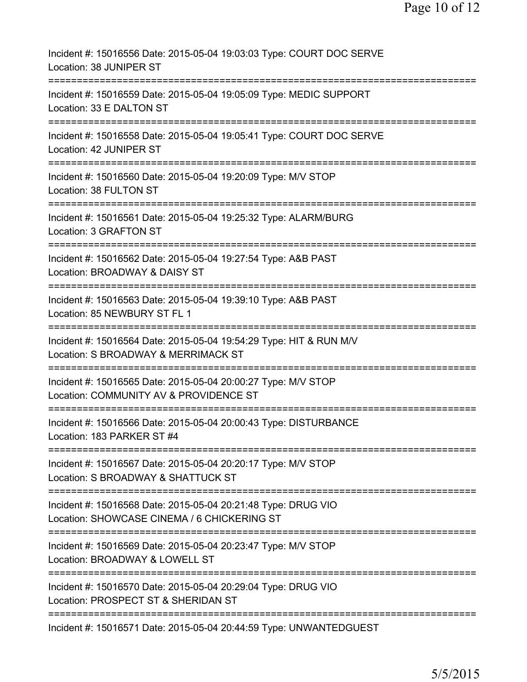| Incident #: 15016556 Date: 2015-05-04 19:03:03 Type: COURT DOC SERVE<br>Location: 38 JUNIPER ST                                                                                                                   |
|-------------------------------------------------------------------------------------------------------------------------------------------------------------------------------------------------------------------|
| Incident #: 15016559 Date: 2015-05-04 19:05:09 Type: MEDIC SUPPORT<br>Location: 33 E DALTON ST                                                                                                                    |
| Incident #: 15016558 Date: 2015-05-04 19:05:41 Type: COURT DOC SERVE<br>Location: 42 JUNIPER ST                                                                                                                   |
| Incident #: 15016560 Date: 2015-05-04 19:20:09 Type: M/V STOP<br>Location: 38 FULTON ST                                                                                                                           |
| Incident #: 15016561 Date: 2015-05-04 19:25:32 Type: ALARM/BURG<br>Location: 3 GRAFTON ST                                                                                                                         |
| Incident #: 15016562 Date: 2015-05-04 19:27:54 Type: A&B PAST<br>Location: BROADWAY & DAISY ST                                                                                                                    |
| Incident #: 15016563 Date: 2015-05-04 19:39:10 Type: A&B PAST<br>Location: 85 NEWBURY ST FL 1                                                                                                                     |
| Incident #: 15016564 Date: 2015-05-04 19:54:29 Type: HIT & RUN M/V<br>Location: S BROADWAY & MERRIMACK ST                                                                                                         |
| Incident #: 15016565 Date: 2015-05-04 20:00:27 Type: M/V STOP<br>Location: COMMUNITY AV & PROVIDENCE ST                                                                                                           |
| Incident #: 15016566 Date: 2015-05-04 20:00:43 Type: DISTURBANCE<br>Location: 183 PARKER ST #4                                                                                                                    |
| Incident #: 15016567 Date: 2015-05-04 20:20:17 Type: M/V STOP<br>Location: S BROADWAY & SHATTUCK ST                                                                                                               |
| ==========================<br>Incident #: 15016568 Date: 2015-05-04 20:21:48 Type: DRUG VIO<br>Location: SHOWCASE CINEMA / 6 CHICKERING ST<br>===========================<br>==================================== |
| Incident #: 15016569 Date: 2015-05-04 20:23:47 Type: M/V STOP<br>Location: BROADWAY & LOWELL ST                                                                                                                   |
| Incident #: 15016570 Date: 2015-05-04 20:29:04 Type: DRUG VIO<br>Location: PROSPECT ST & SHERIDAN ST                                                                                                              |
| Incident #: 15016571 Date: 2015-05-04 20:44:59 Type: UNWANTEDGUEST                                                                                                                                                |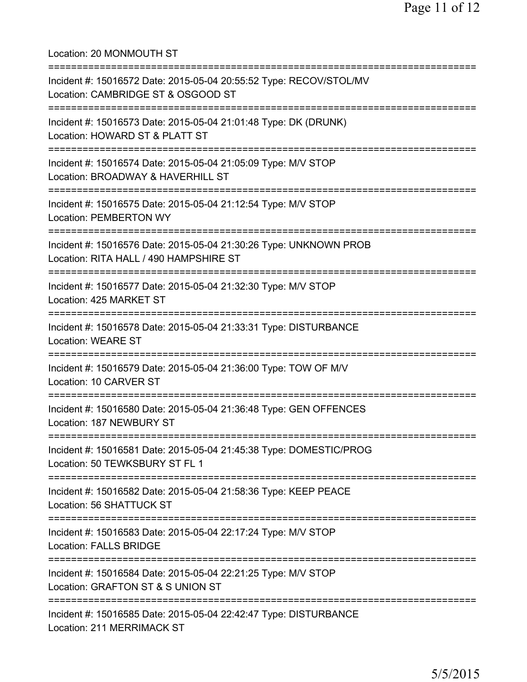Location: 20 MONMOUTH ST =========================================================================== Incident #: 15016572 Date: 2015-05-04 20:55:52 Type: RECOV/STOL/MV Location: CAMBRIDGE ST & OSGOOD ST =========================================================================== Incident #: 15016573 Date: 2015-05-04 21:01:48 Type: DK (DRUNK) Location: HOWARD ST & PLATT ST =========================================================================== Incident #: 15016574 Date: 2015-05-04 21:05:09 Type: M/V STOP Location: BROADWAY & HAVERHILL ST =========================================================================== Incident #: 15016575 Date: 2015-05-04 21:12:54 Type: M/V STOP Location: PEMBERTON WY =========================================================================== Incident #: 15016576 Date: 2015-05-04 21:30:26 Type: UNKNOWN PROB Location: RITA HALL / 490 HAMPSHIRE ST =========================================================================== Incident #: 15016577 Date: 2015-05-04 21:32:30 Type: M/V STOP Location: 425 MARKET ST =========================================================================== Incident #: 15016578 Date: 2015-05-04 21:33:31 Type: DISTURBANCE Location: WEARE ST =========================================================================== Incident #: 15016579 Date: 2015-05-04 21:36:00 Type: TOW OF M/V Location: 10 CARVER ST =========================================================================== Incident #: 15016580 Date: 2015-05-04 21:36:48 Type: GEN OFFENCES Location: 187 NEWBURY ST =========================================================================== Incident #: 15016581 Date: 2015-05-04 21:45:38 Type: DOMESTIC/PROG Location: 50 TEWKSBURY ST FL 1 =========================================================================== Incident #: 15016582 Date: 2015-05-04 21:58:36 Type: KEEP PEACE Location: 56 SHATTUCK ST =========================================================================== Incident #: 15016583 Date: 2015-05-04 22:17:24 Type: M/V STOP Location: FALLS BRIDGE =========================================================================== Incident #: 15016584 Date: 2015-05-04 22:21:25 Type: M/V STOP Location: GRAFTON ST & S UNION ST =========================================================================== Incident #: 15016585 Date: 2015-05-04 22:42:47 Type: DISTURBANCE Location: 211 MERRIMACK ST